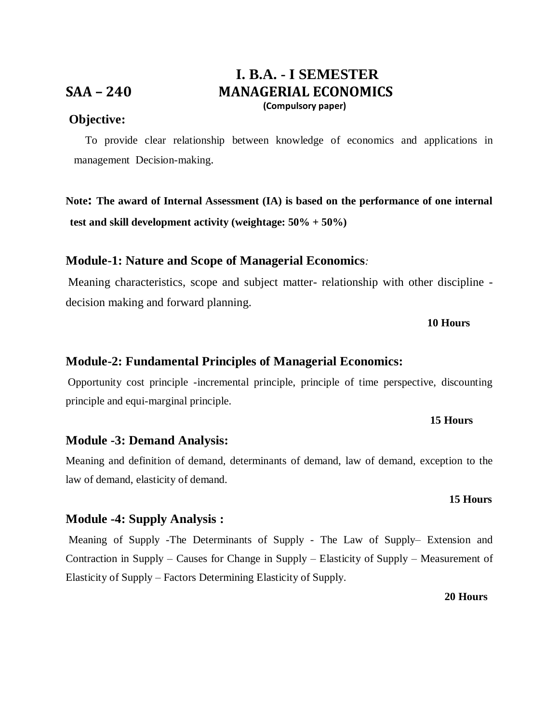## **I. B.A. - I SEMESTER SAA – 240 MANAGERIAL ECONOMICS (Compulsory paper)**

## **Objective:**

 To provide clear relationship between knowledge of economics and applications in management Decision-making.

**Note: The award of Internal Assessment (IA) is based on the performance of one internal test and skill development activity (weightage: 50% + 50%)** 

## **Module-1: Nature and Scope of Managerial Economics***:*

Meaning characteristics, scope and subject matter- relationship with other discipline decision making and forward planning.

### **10 Hours**

## **Module-2: Fundamental Principles of Managerial Economics:**

Opportunity cost principle -incremental principle, principle of time perspective, discounting principle and equi-marginal principle.

## **Module -3: Demand Analysis:**

Meaning and definition of demand, determinants of demand, law of demand, exception to the law of demand, elasticity of demand.

 **15 Hours**

## **Module -4: Supply Analysis :**

Meaning of Supply -The Determinants of Supply - The Law of Supply– Extension and Contraction in Supply – Causes for Change in Supply – Elasticity of Supply – Measurement of Elasticity of Supply – Factors Determining Elasticity of Supply.

#### **20 Hours**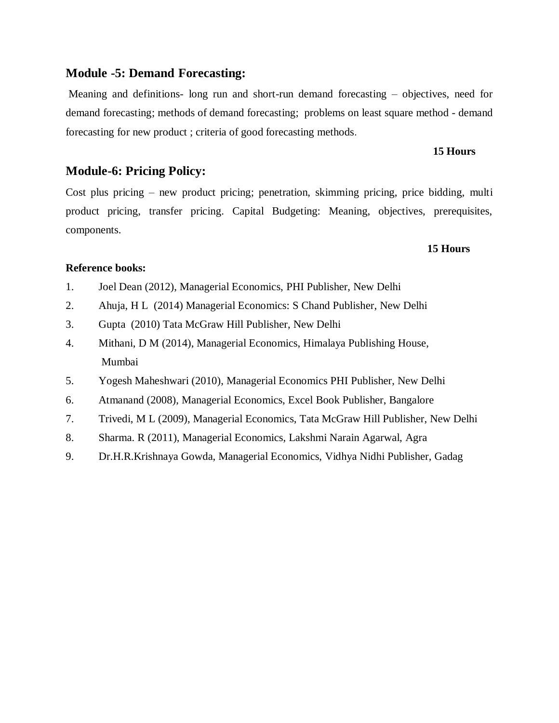## **Module -5: Demand Forecasting:**

Meaning and definitions- long run and short-run demand forecasting – objectives, need for demand forecasting; methods of demand forecasting; problems on least square method - demand forecasting for new product ; criteria of good forecasting methods.

#### **15 Hours**

## **Module-6: Pricing Policy:**

Cost plus pricing – new product pricing; penetration, skimming pricing, price bidding, multi product pricing, transfer pricing. Capital Budgeting: Meaning, objectives, prerequisites, components.

#### **15 Hours**

## **Reference books:**

- 1. Joel Dean (2012), Managerial Economics, PHI Publisher, New Delhi
- 2. Ahuja, H L (2014) Managerial Economics: S Chand Publisher, New Delhi
- 3. Gupta (2010) Tata McGraw Hill Publisher, New Delhi
- 4. Mithani, D M (2014), Managerial Economics, Himalaya Publishing House, Mumbai
- 5. Yogesh Maheshwari (2010), Managerial Economics PHI Publisher, New Delhi
- 6. Atmanand (2008), Managerial Economics, Excel Book Publisher, Bangalore
- 7. Trivedi, M L (2009), Managerial Economics, Tata McGraw Hill Publisher, New Delhi
- 8. Sharma. R (2011), Managerial Economics, Lakshmi Narain Agarwal, Agra
- 9. Dr.H.R.Krishnaya Gowda, Managerial Economics, Vidhya Nidhi Publisher, Gadag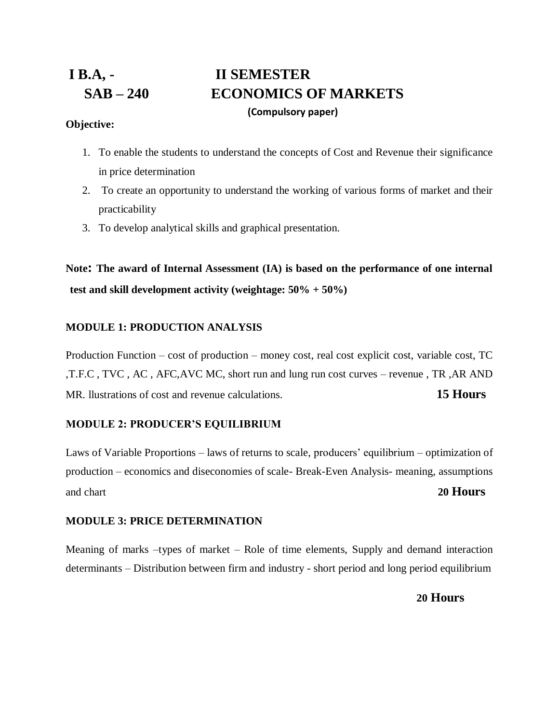# **I B.A, - II SEMESTER SAB – 240 ECONOMICS OF MARKETS (Compulsory paper)**

## **Objective:**

- 1. To enable the students to understand the concepts of Cost and Revenue their significance in price determination
- 2. To create an opportunity to understand the working of various forms of market and their practicability
- 3. To develop analytical skills and graphical presentation.

**Note: The award of Internal Assessment (IA) is based on the performance of one internal test and skill development activity (weightage: 50% + 50%)** 

## **MODULE 1: PRODUCTION ANALYSIS**

Production Function – cost of production – money cost, real cost explicit cost, variable cost, TC ,T.F.C , TVC , AC , AFC,AVC MC, short run and lung run cost curves – revenue , TR ,AR AND MR. llustrations of cost and revenue calculations. **15 Hours**

## **MODULE 2: PRODUCER'S EQUILIBRIUM**

Laws of Variable Proportions – laws of returns to scale, producers' equilibrium – optimization of production – economics and diseconomies of scale- Break-Even Analysis- meaning, assumptions and chart **20 Hours**

## **MODULE 3: PRICE DETERMINATION**

Meaning of marks –types of market – Role of time elements, Supply and demand interaction determinants – Distribution between firm and industry - short period and long period equilibrium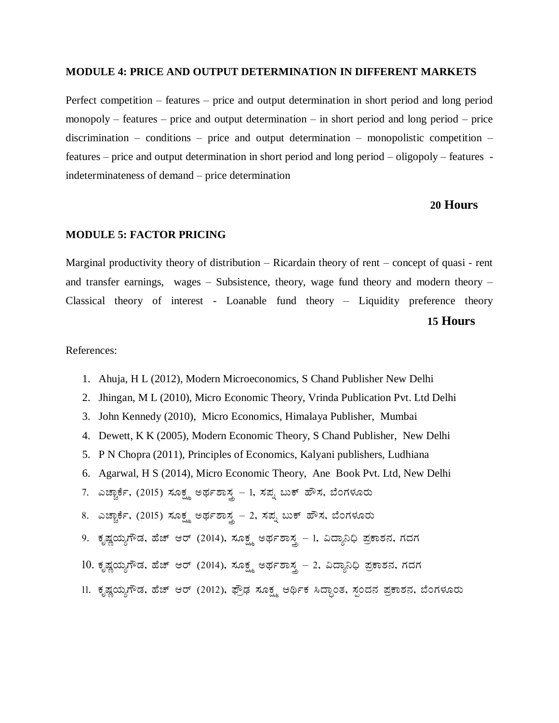#### **MODULE 4: PRICE AND OUTPUT DETERMINATION IN DIFFERENT MARKETS**

Perfect competition – features – price and output determination in short period and long period monopoly – features – price and output determination – in short period and long period – price discrimination – conditions – price and output determination – monopolistic competition – features – price and output determination in short period and long period – oligopoly – features indeterminateness of demand – price determination

## **20 Hours**

#### **MODULE 5: FACTOR PRICING**

Marginal productivity theory of distribution – Ricardain theory of rent – concept of quasi - rent and transfer earnings, wages – Subsistence, theory, wage fund theory and modern theory – Classical theory of interest - Loanable fund theory – Liquidity preference theory **15 Hours**

- 1. Ahuja, H L (2012), Modern Microeconomics, S Chand Publisher New Delhi
- 2. Jhingan, M L (2010), Micro Economic Theory, Vrinda Publication Pvt. Ltd Delhi
- 3. John Kennedy (2010), Micro Economics, Himalaya Publisher, Mumbai
- 4. Dewett, K K (2005), Modern Economic Theory, S Chand Publisher, New Delhi
- 5. P N Chopra (2011), Principles of Economics, Kalyani publishers, Ludhiana
- 6. Agarwal, H S (2014), Micro Economic Theory, Ane Book Pvt. Ltd, New Delhi
- 7. ಎಚ್ಚಾರ್ಕೆ, (2015) ಸೂಕ್ಷ್ಮ ಅರ್ಥಶಾಸ್ತ್ರ 1, ಸಪ್ನ ಬುಕ್ ಹೌಸ, ಬೆಂಗಳೂರು
- 8. ಎಚ್ಚಾರ್ಕೆ, (2015) ಸೂಕ್ಷ್ಮ ಅರ್ಥಶಾಸ್ತ್ರ 2, ಸಪ್ನ ಬುಕ್ ಹೌಸ, ಬೆಂಗಳೂರು
- 9. ಕೃಷ್ಣಯ್ಯಗೌಡ, ಹೆಚ್ ಆರ್ (2014), ಸೂಕ್ಷ್ಮ ಅರ್ಥಶಾಸ್ತ್ರ 1, ವಿದ್ಯಾನಿಧಿ ಪ್ರಕಾಶನ, ಗದಗ
- $10.$  ಕೃಷ್ಣಯ್ಯಗೌಡ, ಹೆಚ್ ಆರ್ (2014), ಸೂಕ್ಷ್ಮ ಅರ್ಥಶಾಸ್ತ್ರ 2, ವಿದ್ಯಾನಿಧಿ ಪ್ರಕಾಶನ, ಗದಗ
- 11. ಕೃಷ್ಣಯ್ಯಗೌಡ, ಹೆಚ್ ಆರ್ (2012), ಫ್ರೌಢ ಸೂಕ್ಷ್ಮ ಆರ್ಥಿಕ ಸಿದ್ದಾಂತ, ಸ್ಪಂದನ ಪ್ರಕಾಶನ, ಬೆಂಗಳೂರು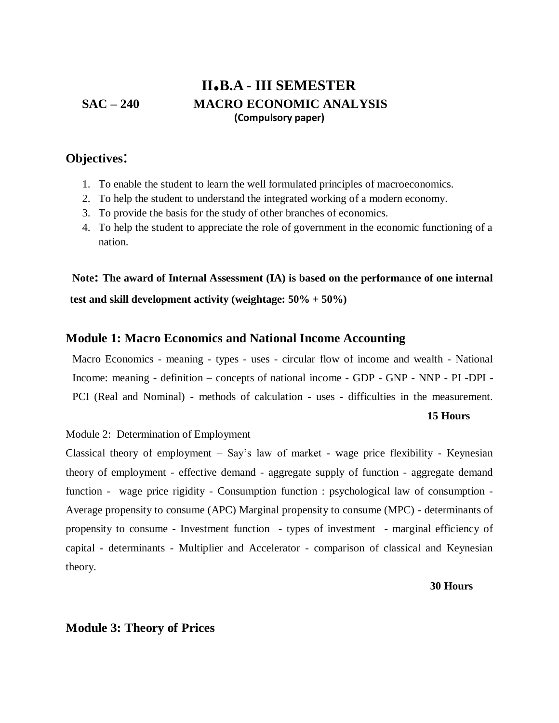## **II.B.A - III SEMESTER SAC – 240 MACRO ECONOMIC ANALYSIS (Compulsory paper)**

## **Objectives**:

- 1. To enable the student to learn the well formulated principles of macroeconomics.
- 2. To help the student to understand the integrated working of a modern economy.
- 3. To provide the basis for the study of other branches of economics.
- 4. To help the student to appreciate the role of government in the economic functioning of a nation.

**Note: The award of Internal Assessment (IA) is based on the performance of one internal test and skill development activity (weightage: 50% + 50%)** 

## **Module 1: Macro Economics and National Income Accounting**

Macro Economics - meaning - types - uses - circular flow of income and wealth - National Income: meaning - definition – concepts of national income - GDP - GNP - NNP - PI -DPI - PCI (Real and Nominal) - methods of calculation - uses - difficulties in the measurement.

#### **15 Hours**

#### Module 2: Determination of Employment

Classical theory of employment – Say's law of market - wage price flexibility - Keynesian theory of employment - effective demand - aggregate supply of function - aggregate demand function - wage price rigidity - Consumption function : psychological law of consumption - Average propensity to consume (APC) Marginal propensity to consume (MPC) - determinants of propensity to consume - Investment function - types of investment - marginal efficiency of capital - determinants - Multiplier and Accelerator - comparison of classical and Keynesian theory.

#### **30 Hours**

## **Module 3: Theory of Prices**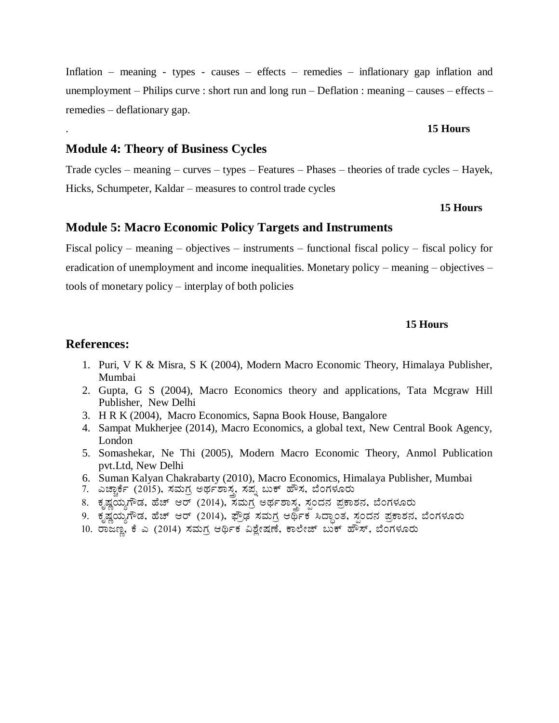Inflation – meaning - types - causes – effects – remedies – inflationary gap inflation and unemployment – Philips curve : short run and long run – Deflation : meaning – causes – effects – remedies – deflationary gap.

## . **15 Hours**

## **Module 4: Theory of Business Cycles**

Trade cycles – meaning – curves – types – Features – Phases – theories of trade cycles – Hayek, Hicks, Schumpeter, Kaldar – measures to control trade cycles

# **<sup>15</sup> Hours**

## **Module 5: Macro Economic Policy Targets and Instruments**

Fiscal policy – meaning – objectives – instruments – functional fiscal policy – fiscal policy for eradication of unemployment and income inequalities. Monetary policy – meaning – objectives – tools of monetary policy – interplay of both policies

## **15 Hours**

- 1. Puri, V K & Misra, S K (2004), Modern Macro Economic Theory, Himalaya Publisher, Mumbai
- 2. Gupta, G S (2004), Macro Economics theory and applications, Tata Mcgraw Hill Publisher, New Delhi
- 3. H R K (2004), Macro Economics, Sapna Book House, Bangalore
- 4. Sampat Mukherjee (2014), Macro Economics, a global text, New Central Book Agency, London
- 5. Somashekar, Ne Thi (2005), Modern Macro Economic Theory, Anmol Publication pvt.Ltd, New Delhi
- 6. Suman Kalyan Chakrabarty (2010), Macro Economics, Himalaya Publisher, Mumbai
- 7. ಎಚ್ಚಾರ್ಕೆ (2015), ಸಮಗ್ರ ಅರ್ಥಶಾಸ್ತ್ರ ಸಪ್ನ ಬುಕ್ ಹೌಸ, ಬೆಂಗಳೂರು
- 8. ಕೃಷ್ಣಯ್ಯಗೌಡ, ಹೆಚ್ ಆರ್ (2014), ಸಮಗ್ರ ಅರ್ಥಶಾಸ್ತ್ರ ಸ್ಪಂದನ ಪ್ರಕಾಶನ, ಬೆಂಗಳೂರು
- 9. ಕೃಷ್ಣಯ್ಯಗೌಡ, ಹೆಚ್ ಆರ್ (2014), ಫ್ರೌಢ ಸಮಗ್ರ ಆರ್ಥಿಕ ಸಿದ್ಧಾಂತ, ಸ್ಪಂದನ ಪ್ರಕಾಶನ, ಬೆಂಗಳೂರು
- 10. ರಾಜಣ್ಣ, ಕೆ ಎ (2014) ಸಮಗ್ರ ಆರ್ಥಿಕ ವಿಶ್ವೇಷಣೆ, ಕಾಲೇಜ್ ಬುಕ್ ಹೌಸ್, ಬೆಂಗಳೂರು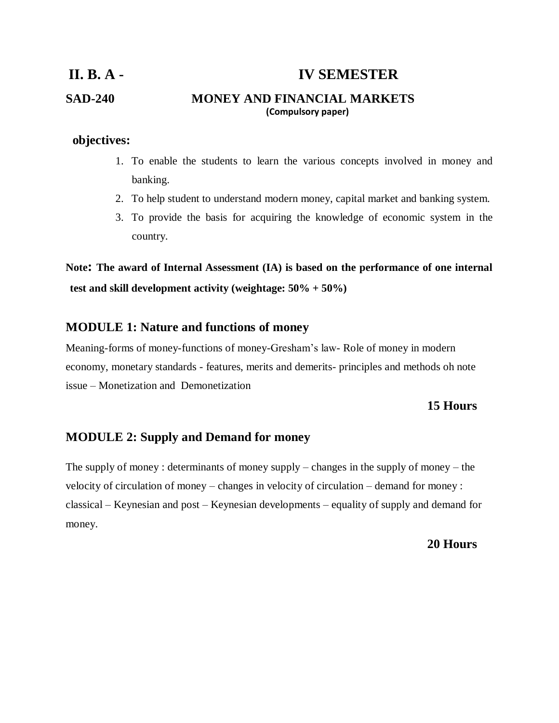# **II. B. A - IV SEMESTER SAD-240 MONEY AND FINANCIAL MARKETS (Compulsory paper)**

## $\bf{objects:}$

- 1. To enable the students to learn the various concepts involved in money and banking.
- 2. To help student to understand modern money, capital market and banking system.
- 3. To provide the basis for acquiring the knowledge of economic system in the country.

**Note: The award of Internal Assessment (IA) is based on the performance of one internal test and skill development activity (weightage: 50% + 50%)** 

## **MODULE 1: Nature and functions of money**

Meaning-forms of money-functions of money-Gresham's law- Role of money in modern economy, monetary standards - features, merits and demerits- principles and methods oh note issue – Monetization and Demonetization

## **15 Hours**

## **MODULE 2: Supply and Demand for money**

The supply of money : determinants of money supply – changes in the supply of money – the velocity of circulation of money – changes in velocity of circulation – demand for money : classical – Keynesian and post – Keynesian developments – equality of supply and demand for money.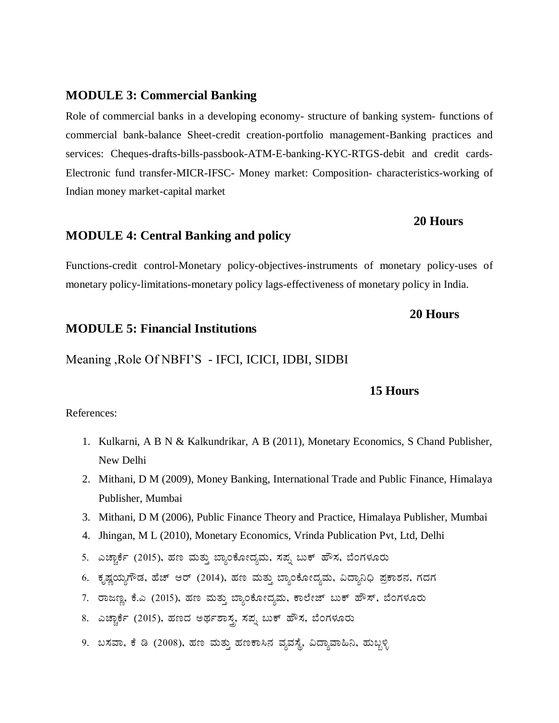## **MODULE 3: Commercial Banking**

Role of commercial banks in a developing economy- structure of banking system- functions of commercial bank-balance Sheet-credit creation-portfolio management-Banking practices and services: Cheques-drafts-bills-passbook-ATM-E-banking-KYC-RTGS-debit and credit cards-Electronic fund transfer-MICR-IFSC- Money market: Composition- characteristics-working of Indian money market-capital market

# **MODULE 4: Central Banking and policy**

Functions-credit control-Monetary policy-objectives-instruments of monetary policy-uses of monetary policy-limitations-monetary policy lags-effectiveness of monetary policy in India.

## **20 Hours**

**20 Hours**

## **MODULE 5: Financial Institutions**

Meaning ,Role Of NBFI'S - IFCI, ICICI, IDBI, SIDBI

#### **15 Hours**

- 1. Kulkarni, A B N & Kalkundrikar, A B (2011), Monetary Economics, S Chand Publisher, New Delhi
- 2. Mithani, D M (2009), Money Banking, International Trade and Public Finance, Himalaya Publisher, Mumbai
- 3. Mithani, D M (2006), Public Finance Theory and Practice, Himalaya Publisher, Mumbai
- 4. Jhingan, M L (2010), Monetary Economics, Vrinda Publication Pvt, Ltd, Delhi
- 5. ಎಚ್ಚಾರ್ಕೆ (2015), ಹಣ ಮತ್ತು ಬ್ಯಾಂಕೋದ್ಯಮ, ಸಪ್ಪ ಬುಕ್ ಹೌಸ, ಬೆಂಗಳೂರು
- 6. ಕೃಷ್ಣಯ್ಯಗೌಡ, ಹೆಚ್ ಆರ್ (2014), ಹಣ ಮತ್ತು ಬ್ಯಾಂಕೋದ್ಯಮ, ವಿದ್ಯಾನಿಧಿ ಪ್ರಕಾಶನ, ಗದಗ
- 7. ರಾಜಣ್ಣ, ಕೆ.ಎ (2015), ಹಣ ಮತ್ತು ಬ್ಯಾಂಕೋದ್ಯಮ, ಕಾಲೇಜ್ ಬುಕ್ ಹೌಸ್, ಬೆಂಗಳೂರು
- 8. ಎಚ್ಚಾರ್ಕೆ (2015), ಹಣದ ಅರ್ಥಶಾಸ್ತ್ರ ಸಪ್ನ ಬುಕ್ ಹೌಸ, ಬೆಂಗಳೂರು
- 9. ಬಸವಾ, ಕೆ ಡಿ (2008), ಹಣ ಮತ್ತು ಹಣಕಾಸಿನ ವ್ಯವಸ್ಥೆ, ವಿದ್ಯಾವಾಹಿನಿ, ಹುಬ್ಬಳ್ಳಿ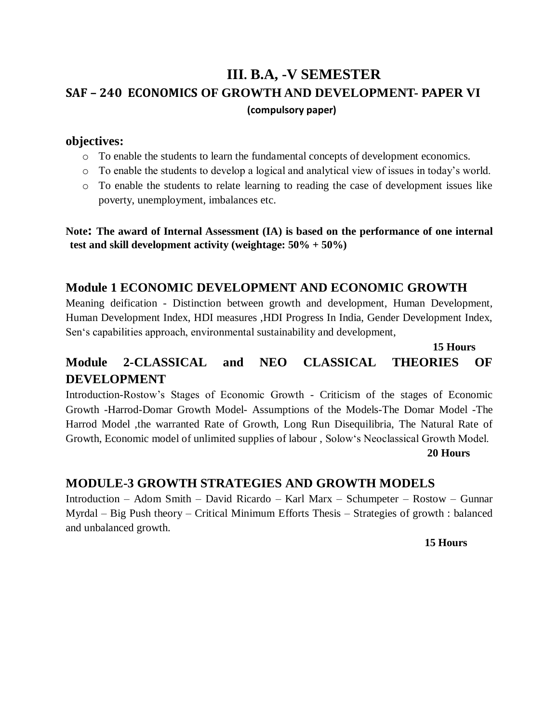# **III. B.A, -V SEMESTER SAF – 240 ECONOMICS OF GROWTH AND DEVELOPMENT- PAPER VI (compulsory paper)**

## **objectives:**

- o To enable the students to learn the fundamental concepts of development economics.
- o To enable the students to develop a logical and analytical view of issues in today's world.
- o To enable the students to relate learning to reading the case of development issues like poverty, unemployment, imbalances etc.

**Note: The award of Internal Assessment (IA) is based on the performance of one internal test and skill development activity (weightage: 50% + 50%)**

## **Module 1 ECONOMIC DEVELOPMENT AND ECONOMIC GROWTH**

Meaning deification - Distinction between growth and development, Human Development, Human Development Index, HDI measures ,HDI Progress In India, Gender Development Index, Sen's capabilities approach, environmental sustainability and development,

## **15 Hours**

## **Module 2-CLASSICAL and NEO CLASSICAL THEORIES OF DEVELOPMENT**

Introduction-Rostow's Stages of Economic Growth - Criticism of the stages of Economic Growth -Harrod-Domar Growth Model- Assumptions of the Models-The Domar Model -The Harrod Model ,the warranted Rate of Growth, Long Run Disequilibria, The Natural Rate of Growth, Economic model of unlimited supplies of labour , Solow's Neoclassical Growth Model.  **20 Hours**

## **MODULE-3 GROWTH STRATEGIES AND GROWTH MODELS**

Introduction – Adom Smith – David Ricardo – Karl Marx – Schumpeter – Rostow – Gunnar Myrdal – Big Push theory – Critical Minimum Efforts Thesis – Strategies of growth : balanced and unbalanced growth.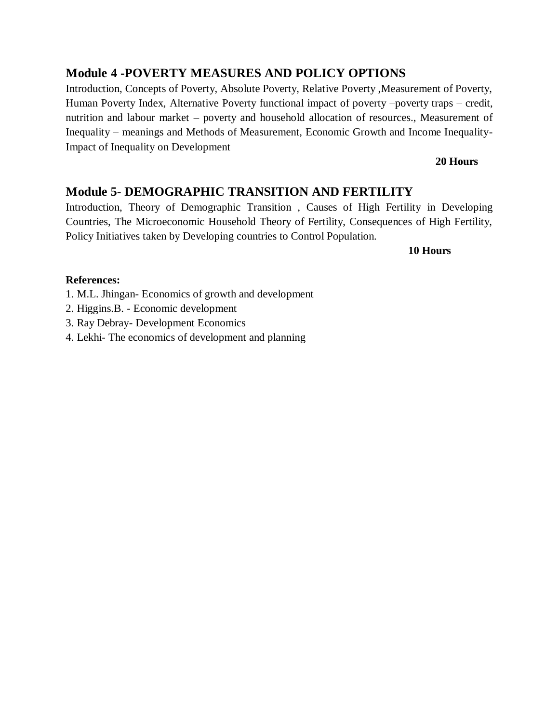## **Module 4 -POVERTY MEASURES AND POLICY OPTIONS**

Introduction, Concepts of Poverty, Absolute Poverty, Relative Poverty ,Measurement of Poverty, Human Poverty Index, Alternative Poverty functional impact of poverty –poverty traps – credit, nutrition and labour market – poverty and household allocation of resources., Measurement of Inequality – meanings and Methods of Measurement, Economic Growth and Income Inequality-Impact of Inequality on Development

## **20 Hours**

## **Module 5- DEMOGRAPHIC TRANSITION AND FERTILITY**

Introduction, Theory of Demographic Transition , Causes of High Fertility in Developing Countries, The Microeconomic Household Theory of Fertility, Consequences of High Fertility, Policy Initiatives taken by Developing countries to Control Population.

**10 Hours**

- 1. M.L. Jhingan- Economics of growth and development
- 2. Higgins.B. Economic development
- 3. Ray Debray- Development Economics
- 4. Lekhi- The economics of development and planning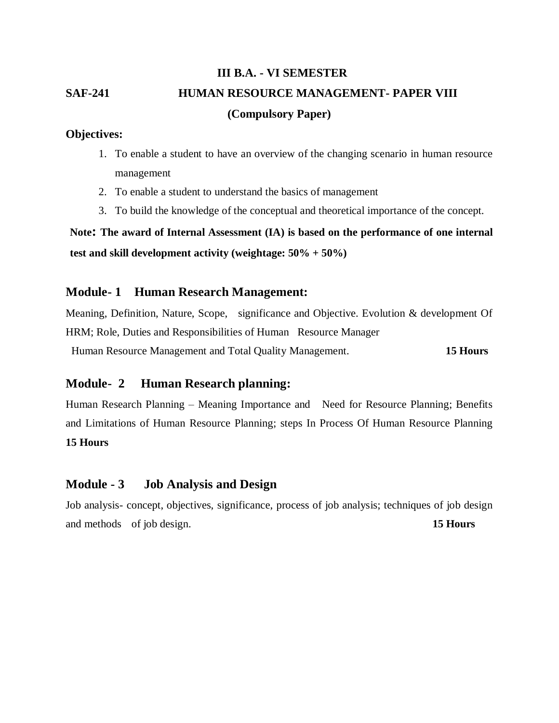# **III B.A. - VI SEMESTER SAF-241 HUMAN RESOURCE MANAGEMENT- PAPER VIII (Compulsory Paper)**

## **Objectives:**

- 1. To enable a student to have an overview of the changing scenario in human resource management
- 2. To enable a student to understand the basics of management
- 3. To build the knowledge of the conceptual and theoretical importance of the concept.

**Note: The award of Internal Assessment (IA) is based on the performance of one internal test and skill development activity (weightage: 50% + 50%)** 

## **Module- 1 Human Research Management:**

Meaning, Definition, Nature, Scope, significance and Objective. Evolution & development Of HRM; Role, Duties and Responsibilities of Human Resource Manager

Human Resource Management and Total Quality Management. **15 Hours** 

## **Module- 2 Human Research planning:**

Human Research Planning – Meaning Importance and Need for Resource Planning; Benefits and Limitations of Human Resource Planning; steps In Process Of Human Resource Planning **15 Hours** 

## **Module - 3 Job Analysis and Design**

Job analysis- concept, objectives, significance, process of job analysis; techniques of job design and methods of job design. **15 Hours**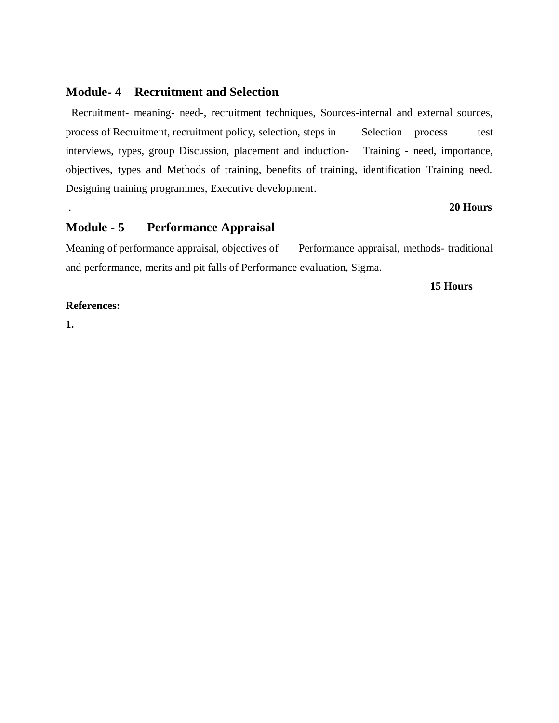## **Module- 4 Recruitment and Selection**

Recruitment- meaning- need-, recruitment techniques, Sources-internal and external sources, process of Recruitment, recruitment policy, selection, steps in Selection process – test interviews, types, group Discussion, placement and induction- Training **-** need, importance, objectives, types and Methods of training, benefits of training, identification Training need. Designing training programmes, Executive development.

#### . **20 Hours**

## **Module - 5 Performance Appraisal**

Meaning of performance appraisal, objectives of Performance appraisal, methods- traditional and performance, merits and pit falls of Performance evaluation, Sigma.

#### **15 Hours**

#### **References:**

**1.**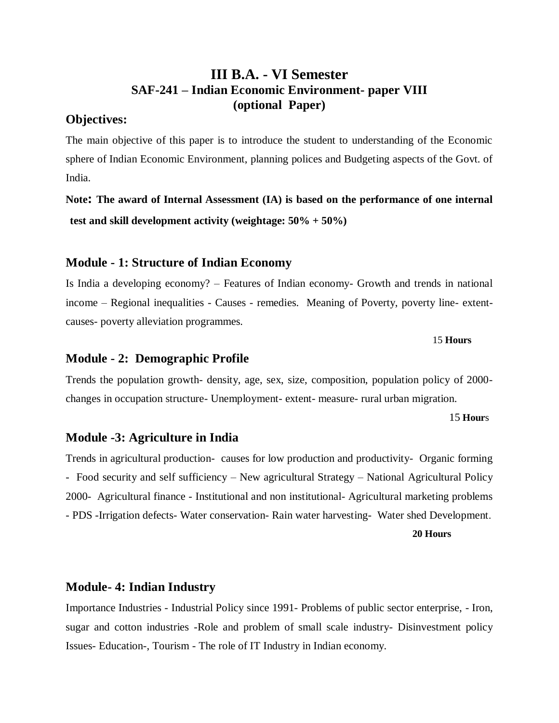## **III B.A. - VI Semester SAF-241 – Indian Economic Environment- paper VIII (optional Paper)**

## **Objectives:**

The main objective of this paper is to introduce the student to understanding of the Economic sphere of Indian Economic Environment, planning polices and Budgeting aspects of the Govt. of India.

**Note: The award of Internal Assessment (IA) is based on the performance of one internal test and skill development activity (weightage: 50% + 50%)** 

## **Module - 1: Structure of Indian Economy**

Is India a developing economy? – Features of Indian economy- Growth and trends in national income – Regional inequalities - Causes - remedies. Meaning of Poverty, poverty line- extentcauses- poverty alleviation programmes.

#### 15 **Hours**

## **Module - 2: Demographic Profile**

Trends the population growth- density, age, sex, size, composition, population policy of 2000 changes in occupation structure- Unemployment- extent- measure- rural urban migration.

#### 15 **Hour**s

#### **Module -3: Agriculture in India**

Trends in agricultural production- causes for low production and productivity- Organic forming - Food security and self sufficiency – New agricultural Strategy – National Agricultural Policy 2000- Agricultural finance - Institutional and non institutional- Agricultural marketing problems - PDS -Irrigation defects- Water conservation- Rain water harvesting- Water shed Development.

**20 Hours**

#### **Module- 4: Indian Industry**

Importance Industries - Industrial Policy since 1991- Problems of public sector enterprise, - Iron, sugar and cotton industries -Role and problem of small scale industry- Disinvestment policy Issues- Education-, Tourism - The role of IT Industry in Indian economy.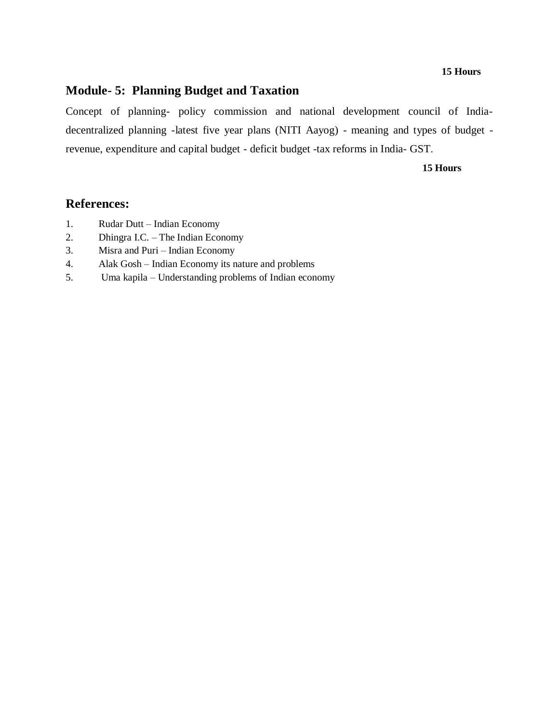#### **15 Hours**

## **Module- 5: Planning Budget and Taxation**

Concept of planning- policy commission and national development council of Indiadecentralized planning -latest five year plans (NITI Aayog) - meaning and types of budget revenue, expenditure and capital budget - deficit budget -tax reforms in India- GST.

#### **15 Hours**

- 1. Rudar Dutt Indian Economy
- 2. Dhingra I.C. The Indian Economy
- 3. Misra and Puri Indian Economy
- 4. Alak Gosh Indian Economy its nature and problems
- 5. Uma kapila Understanding problems of Indian economy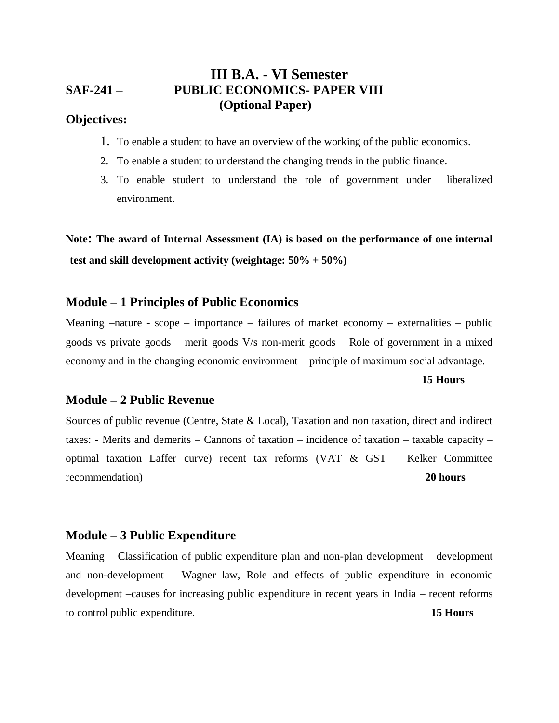## **III B.A. - VI Semester SAF-241 – PUBLIC ECONOMICS- PAPER VIII (Optional Paper)**

## **Objectives:**

- 1. To enable a student to have an overview of the working of the public economics.
- 2. To enable a student to understand the changing trends in the public finance.
- 3. To enable student to understand the role of government under liberalized environment.

**Note: The award of Internal Assessment (IA) is based on the performance of one internal test and skill development activity (weightage: 50% + 50%)** 

## **Module – 1 Principles of Public Economics**

Meaning  $-$ nature - scope – importance – failures of market economy – externalities – public goods vs private goods – merit goods V/s non-merit goods – Role of government in a mixed economy and in the changing economic environment – principle of maximum social advantage.

#### **15 Hours**

#### **Module – 2 Public Revenue**

Sources of public revenue (Centre, State & Local), Taxation and non taxation, direct and indirect taxes: - Merits and demerits – Cannons of taxation – incidence of taxation – taxable capacity – optimal taxation Laffer curve) recent tax reforms (VAT & GST – Kelker Committee recommendation) **20 hours**

#### **Module – 3 Public Expenditure**

Meaning – Classification of public expenditure plan and non-plan development – development and non-development – Wagner law, Role and effects of public expenditure in economic development –causes for increasing public expenditure in recent years in India – recent reforms to control public expenditure. **15 Hours**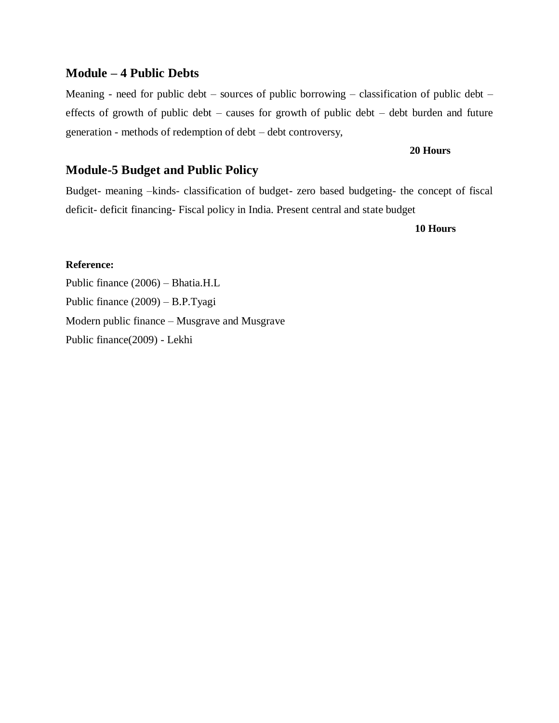## **Module – 4 Public Debts**

Meaning - need for public debt – sources of public borrowing – classification of public debt – effects of growth of public debt – causes for growth of public debt – debt burden and future generation - methods of redemption of debt – debt controversy,

#### **20 Hours**

## **Module-5 Budget and Public Policy**

Budget- meaning –kinds- classification of budget- zero based budgeting- the concept of fiscal deficit- deficit financing- Fiscal policy in India. Present central and state budget

 **10 Hours** 

#### **Reference:**

Public finance (2006) – Bhatia.H.L Public finance (2009) – B.P.Tyagi Modern public finance – Musgrave and Musgrave Public finance(2009) - Lekhi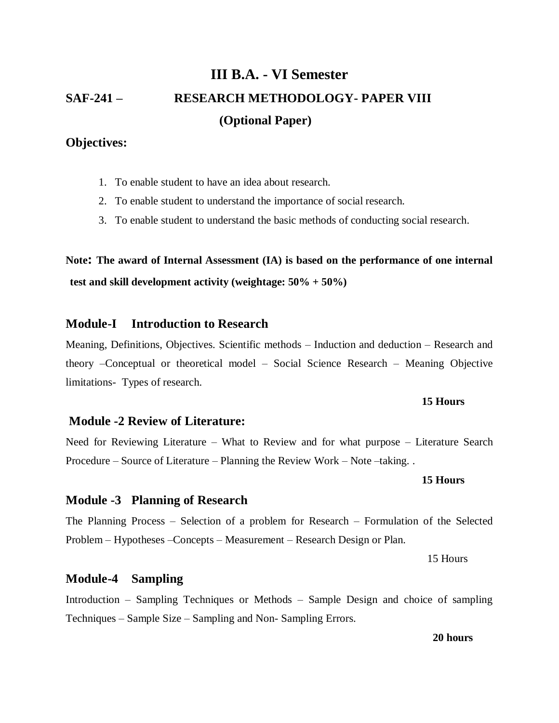# **III B.A. - VI Semester SAF-241 – RESEARCH METHODOLOGY- PAPER VIII (Optional Paper)**

## **Objectives:**

- 1. To enable student to have an idea about research.
- 2. To enable student to understand the importance of social research.
- 3. To enable student to understand the basic methods of conducting social research.

## **Note: The award of Internal Assessment (IA) is based on the performance of one internal test and skill development activity (weightage: 50% + 50%)**

## **Module-I Introduction to Research**

Meaning, Definitions, Objectives. Scientific methods – Induction and deduction – Research and theory –Conceptual or theoretical model – Social Science Research – Meaning Objective limitations- Types of research.

#### **15 Hours**

## **Module -2 Review of Literature:**

Need for Reviewing Literature – What to Review and for what purpose – Literature Search Procedure – Source of Literature – Planning the Review Work – Note –taking. .

**15 Hours**

## **Module -3 Planning of Research**

The Planning Process – Selection of a problem for Research – Formulation of the Selected Problem – Hypotheses –Concepts – Measurement – Research Design or Plan.

15 Hours

## **Module-4 Sampling**

Introduction – Sampling Techniques or Methods – Sample Design and choice of sampling Techniques – Sample Size – Sampling and Non- Sampling Errors.

**20 hours**